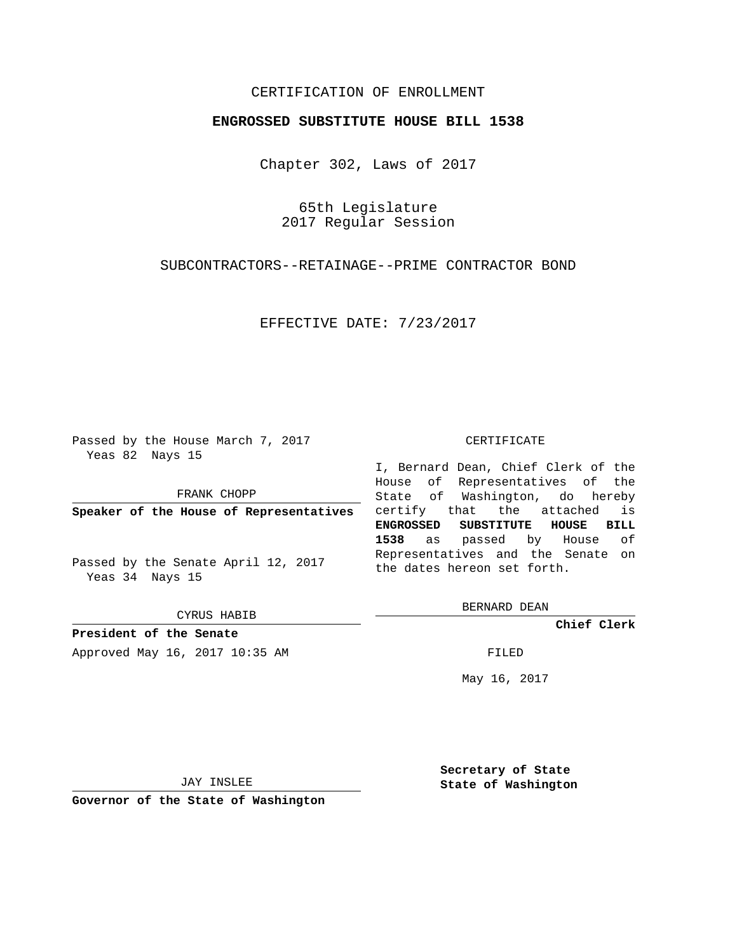## CERTIFICATION OF ENROLLMENT

## **ENGROSSED SUBSTITUTE HOUSE BILL 1538**

Chapter 302, Laws of 2017

65th Legislature 2017 Regular Session

SUBCONTRACTORS--RETAINAGE--PRIME CONTRACTOR BOND

EFFECTIVE DATE: 7/23/2017

Passed by the House March 7, 2017 Yeas 82 Nays 15

FRANK CHOPP

**Speaker of the House of Representatives**

Passed by the Senate April 12, 2017 Yeas 34 Nays 15

CYRUS HABIB

**President of the Senate**

Approved May 16, 2017 10:35 AM FILED

## CERTIFICATE

I, Bernard Dean, Chief Clerk of the House of Representatives of the State of Washington, do hereby certify that the attached is **ENGROSSED SUBSTITUTE HOUSE BILL 1538** as passed by House of Representatives and the Senate on the dates hereon set forth.

BERNARD DEAN

**Chief Clerk**

May 16, 2017

JAY INSLEE

**Governor of the State of Washington**

**Secretary of State State of Washington**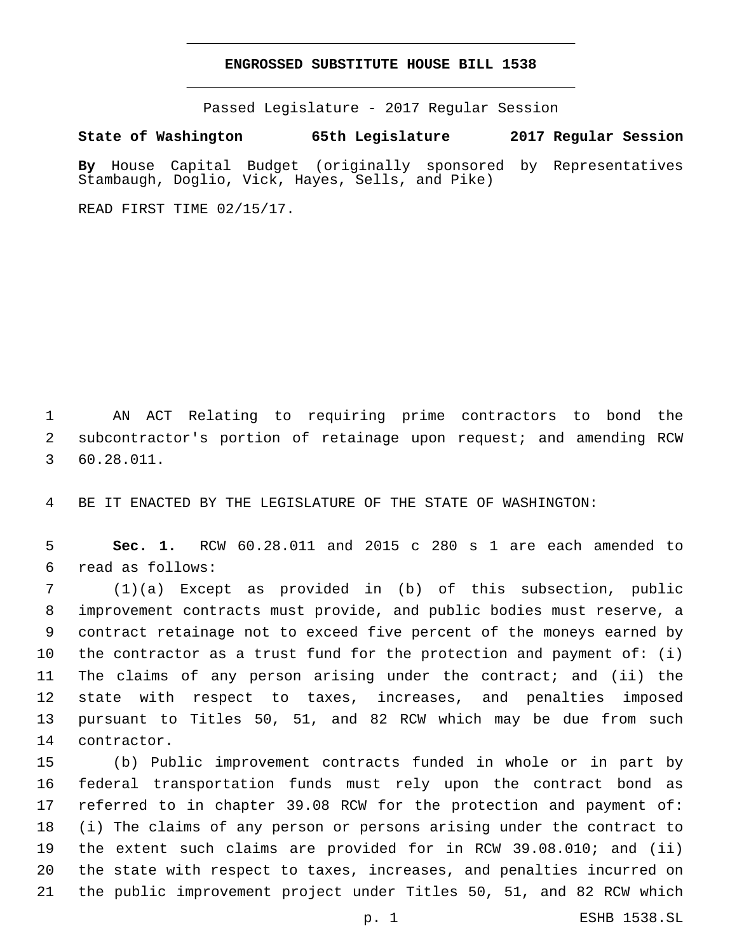## **ENGROSSED SUBSTITUTE HOUSE BILL 1538**

Passed Legislature - 2017 Regular Session

**State of Washington 65th Legislature 2017 Regular Session**

**By** House Capital Budget (originally sponsored by Representatives Stambaugh, Doglio, Vick, Hayes, Sells, and Pike)

READ FIRST TIME 02/15/17.

 AN ACT Relating to requiring prime contractors to bond the subcontractor's portion of retainage upon request; and amending RCW 60.28.011.3

BE IT ENACTED BY THE LEGISLATURE OF THE STATE OF WASHINGTON:

 **Sec. 1.** RCW 60.28.011 and 2015 c 280 s 1 are each amended to read as follows:6

 (1)(a) Except as provided in (b) of this subsection, public improvement contracts must provide, and public bodies must reserve, a contract retainage not to exceed five percent of the moneys earned by the contractor as a trust fund for the protection and payment of: (i) The claims of any person arising under the contract; and (ii) the state with respect to taxes, increases, and penalties imposed pursuant to Titles 50, 51, and 82 RCW which may be due from such 14 contractor.

 (b) Public improvement contracts funded in whole or in part by federal transportation funds must rely upon the contract bond as referred to in chapter 39.08 RCW for the protection and payment of: (i) The claims of any person or persons arising under the contract to the extent such claims are provided for in RCW 39.08.010; and (ii) the state with respect to taxes, increases, and penalties incurred on the public improvement project under Titles 50, 51, and 82 RCW which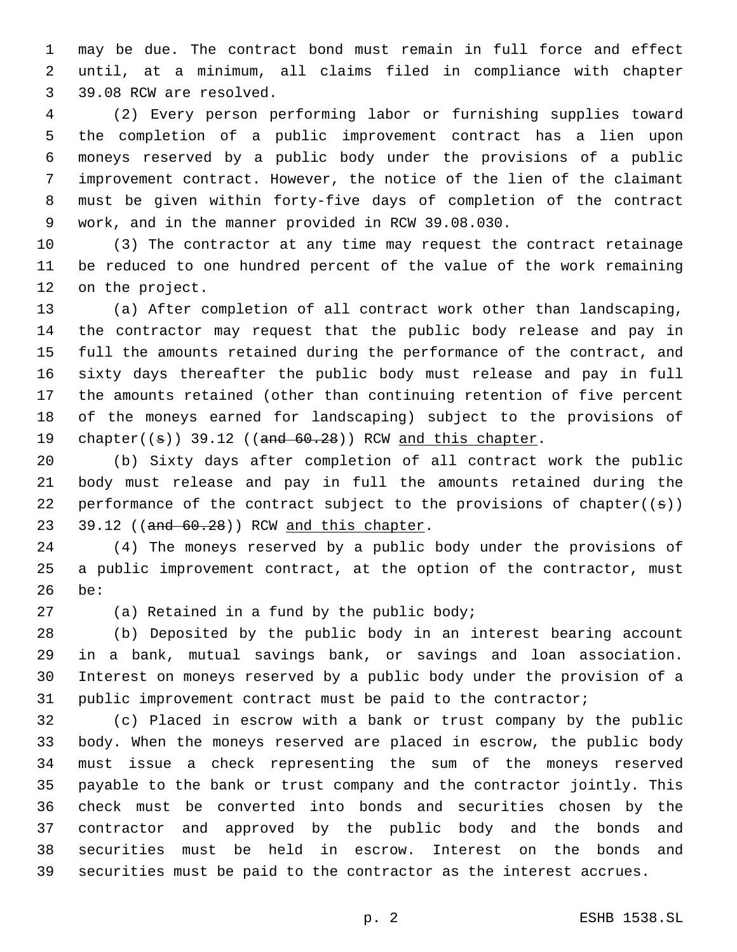may be due. The contract bond must remain in full force and effect until, at a minimum, all claims filed in compliance with chapter 3 39.08 RCW are resolved.

 (2) Every person performing labor or furnishing supplies toward the completion of a public improvement contract has a lien upon moneys reserved by a public body under the provisions of a public improvement contract. However, the notice of the lien of the claimant must be given within forty-five days of completion of the contract work, and in the manner provided in RCW 39.08.030.9

 (3) The contractor at any time may request the contract retainage be reduced to one hundred percent of the value of the work remaining 12 on the project.

 (a) After completion of all contract work other than landscaping, the contractor may request that the public body release and pay in full the amounts retained during the performance of the contract, and sixty days thereafter the public body must release and pay in full the amounts retained (other than continuing retention of five percent of the moneys earned for landscaping) subject to the provisions of 19 chapter( $(s)$ ) 39.12 ((and  $60.28$ )) RCW and this chapter.

 (b) Sixty days after completion of all contract work the public body must release and pay in full the amounts retained during the 22 performance of the contract subject to the provisions of chapter $((\theta))$ 23 39.12 ((and 60.28)) RCW and this chapter.

 (4) The moneys reserved by a public body under the provisions of a public improvement contract, at the option of the contractor, must 26 be:

 $(27)$  (a) Retained in a fund by the public body;

 (b) Deposited by the public body in an interest bearing account in a bank, mutual savings bank, or savings and loan association. Interest on moneys reserved by a public body under the provision of a public improvement contract must be paid to the contractor;

 (c) Placed in escrow with a bank or trust company by the public body. When the moneys reserved are placed in escrow, the public body must issue a check representing the sum of the moneys reserved payable to the bank or trust company and the contractor jointly. This check must be converted into bonds and securities chosen by the contractor and approved by the public body and the bonds and securities must be held in escrow. Interest on the bonds and securities must be paid to the contractor as the interest accrues.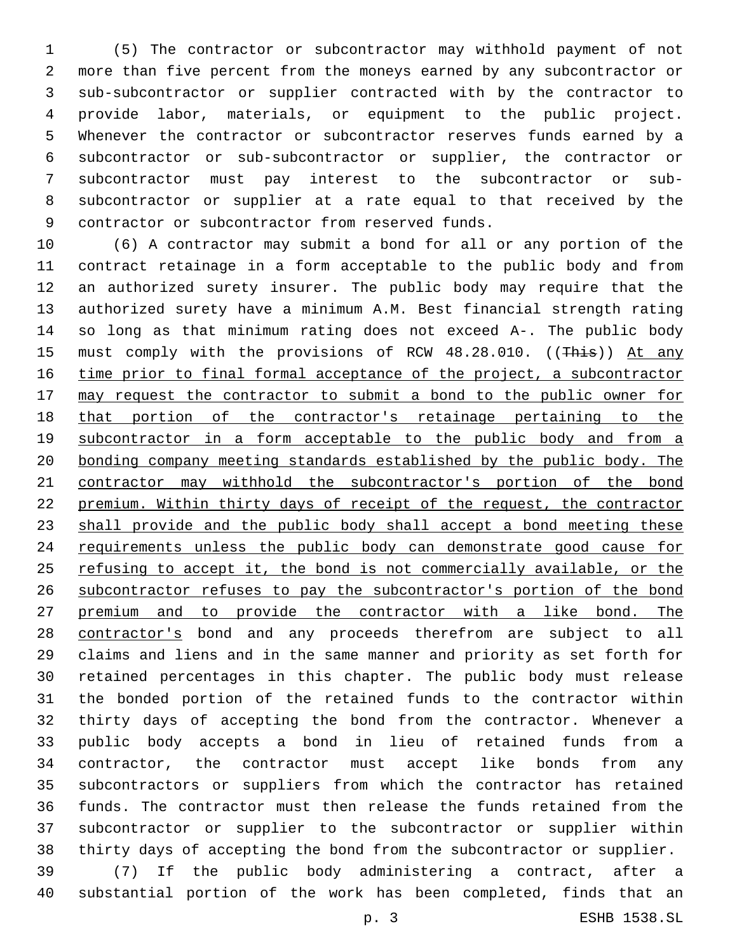(5) The contractor or subcontractor may withhold payment of not more than five percent from the moneys earned by any subcontractor or sub-subcontractor or supplier contracted with by the contractor to provide labor, materials, or equipment to the public project. Whenever the contractor or subcontractor reserves funds earned by a subcontractor or sub-subcontractor or supplier, the contractor or subcontractor must pay interest to the subcontractor or sub- subcontractor or supplier at a rate equal to that received by the 9 contractor or subcontractor from reserved funds.

 (6) A contractor may submit a bond for all or any portion of the contract retainage in a form acceptable to the public body and from an authorized surety insurer. The public body may require that the authorized surety have a minimum A.M. Best financial strength rating so long as that minimum rating does not exceed A-. The public body 15 must comply with the provisions of RCW 48.28.010. ((This)) At any time prior to final formal acceptance of the project, a subcontractor may request the contractor to submit a bond to the public owner for that portion of the contractor's retainage pertaining to the 19 subcontractor in a form acceptable to the public body and from a bonding company meeting standards established by the public body. The contractor may withhold the subcontractor's portion of the bond 22 premium. Within thirty days of receipt of the request, the contractor shall provide and the public body shall accept a bond meeting these 24 requirements unless the public body can demonstrate good cause for 25 refusing to accept it, the bond is not commercially available, or the 26 subcontractor refuses to pay the subcontractor's portion of the bond premium and to provide the contractor with a like bond. The 28 contractor's bond and any proceeds therefrom are subject to all claims and liens and in the same manner and priority as set forth for retained percentages in this chapter. The public body must release the bonded portion of the retained funds to the contractor within thirty days of accepting the bond from the contractor. Whenever a public body accepts a bond in lieu of retained funds from a contractor, the contractor must accept like bonds from any subcontractors or suppliers from which the contractor has retained funds. The contractor must then release the funds retained from the subcontractor or supplier to the subcontractor or supplier within thirty days of accepting the bond from the subcontractor or supplier.

 (7) If the public body administering a contract, after a substantial portion of the work has been completed, finds that an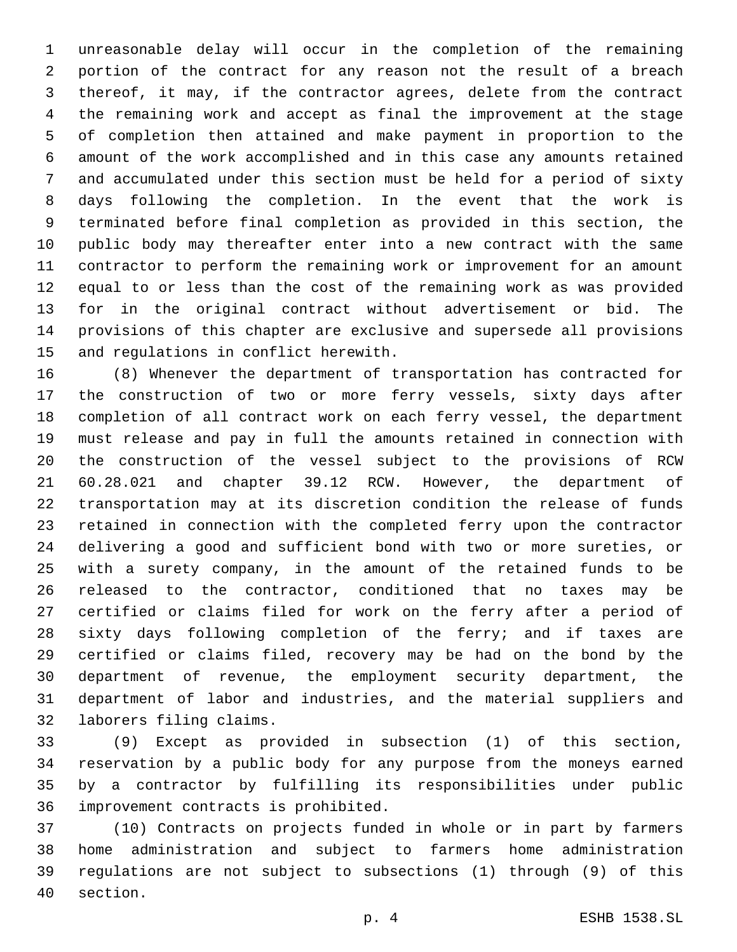unreasonable delay will occur in the completion of the remaining portion of the contract for any reason not the result of a breach thereof, it may, if the contractor agrees, delete from the contract the remaining work and accept as final the improvement at the stage of completion then attained and make payment in proportion to the amount of the work accomplished and in this case any amounts retained and accumulated under this section must be held for a period of sixty days following the completion. In the event that the work is terminated before final completion as provided in this section, the public body may thereafter enter into a new contract with the same contractor to perform the remaining work or improvement for an amount equal to or less than the cost of the remaining work as was provided for in the original contract without advertisement or bid. The provisions of this chapter are exclusive and supersede all provisions 15 and regulations in conflict herewith.

 (8) Whenever the department of transportation has contracted for the construction of two or more ferry vessels, sixty days after completion of all contract work on each ferry vessel, the department must release and pay in full the amounts retained in connection with the construction of the vessel subject to the provisions of RCW 60.28.021 and chapter 39.12 RCW. However, the department of transportation may at its discretion condition the release of funds retained in connection with the completed ferry upon the contractor delivering a good and sufficient bond with two or more sureties, or with a surety company, in the amount of the retained funds to be released to the contractor, conditioned that no taxes may be certified or claims filed for work on the ferry after a period of sixty days following completion of the ferry; and if taxes are certified or claims filed, recovery may be had on the bond by the department of revenue, the employment security department, the department of labor and industries, and the material suppliers and 32 laborers filing claims.

 (9) Except as provided in subsection (1) of this section, reservation by a public body for any purpose from the moneys earned by a contractor by fulfilling its responsibilities under public improvement contracts is prohibited.36

 (10) Contracts on projects funded in whole or in part by farmers home administration and subject to farmers home administration regulations are not subject to subsections (1) through (9) of this 40 section.